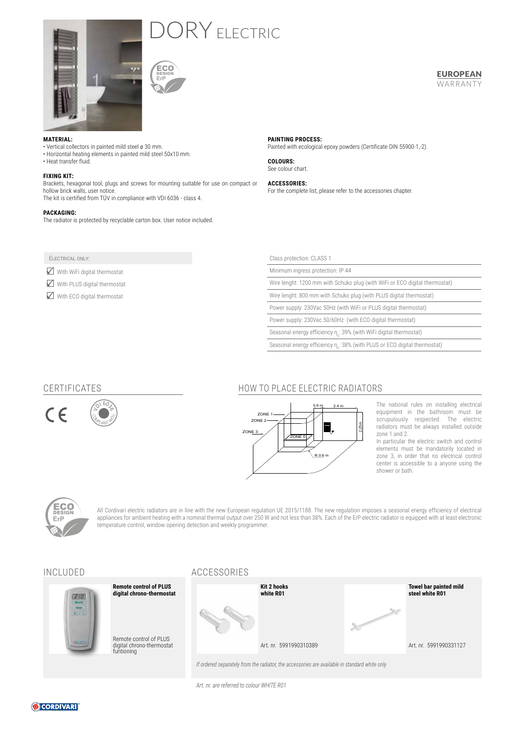

# ORY ELECTRIC



### **MATERIAL:**

- Vertical collectors in painted mild steel ø 30 mm.
- Horizontal heating elements in painted mild steel 50x10 mm.
- Heat transfer fluid.

#### **FIXING KIT:**

Brackets, hexagonal tool, plugs and screws for mounting suitable for use on compact or hollow brick walls, user notice. The kit is certified from TÜV in compliance with VDI 6036 - class 4.

#### **PACKAGING:**

The radiator is protected by recyclable carton box. User notice included.

### Electrical only:

 $\sqrt{\phantom{a}}$  With WiFi digital thermostat

 $\boxtimes$  With PLUS digital thermostat

 $\boxtimes$  With ECO digital thermostat

**PAINTING PROCESS:** Painted with ecological epoxy powders (Certificate DIN 55900-1,-2).

**COLOURS:** See colour chart.

**ACCESSORIES:**  For the complete list, please refer to the accessories chapter.

| Class protection: CLASS 1                                                   |  |  |  |  |
|-----------------------------------------------------------------------------|--|--|--|--|
| Minimum ingress protection: IP 44                                           |  |  |  |  |
| Wire lenght: 1200 mm with Schuko plug (with WiFi or ECO digital thermostat) |  |  |  |  |
| Wire lenght: 800 mm with Schuko plug (with PLUS digital thermostat)         |  |  |  |  |
| Power supply: 230Vac 50Hz (with WiFi or PLUS digital thermostat)            |  |  |  |  |
| Power supply: 230Vac 50/60Hz (with ECO digital thermostat)                  |  |  |  |  |

Seasonal energy efficiency  $n_{s}$ : 39% (with WiFi digital thermostat)

Seasonal energy efficiency  $\eta_s$ : 38% (with PLUS or ECO digital thermostat)

### CERTIFICATES

CLANT WITH  $\sqrt{91603}$ 



## HOW TO PLACE ELECTRIC RADIATORS



The national rules on installing electrical equipment in the bathroom must be scrupulously respected. The electric radiators must be always installed outside zone 1 and 2.

EUROPEAN WARRANTY

In particular the electric switch and control elements must be mandatorily located in zone 3, in order that no electrical control center is accessible to a anyone using the shower or bath.



All Cordivari electric radiators are in line with the new European regulation UE 2015/1188. The new regulation imposes a seasonal energy efficiency of electrical appliances for ambient heating with a nominal thermal output over 250 W and not less than 38%. Each of the ErP electric radiator is equipped with at least electronic temperature control, window opening detection and weekly programmer.



funtioning

### INCLUDED ACCESSORIES



*If ordered separately from the radiator, the accessories are available in standard white only*

*Art. nr. are referred to colour WHITE R01*